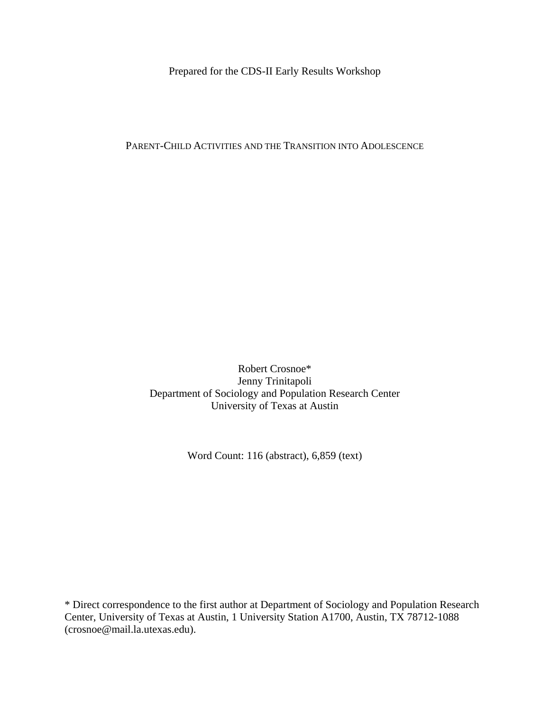Prepared for the CDS-II Early Results Workshop

PARENT-CHILD ACTIVITIES AND THE TRANSITION INTO ADOLESCENCE

Robert Crosnoe\* Jenny Trinitapoli Department of Sociology and Population Research Center University of Texas at Austin

Word Count: 116 (abstract), 6,859 (text)

\* Direct correspondence to the first author at Department of Sociology and Population Research Center, University of Texas at Austin, 1 University Station A1700, Austin, TX 78712-1088 (crosnoe@mail.la.utexas.edu).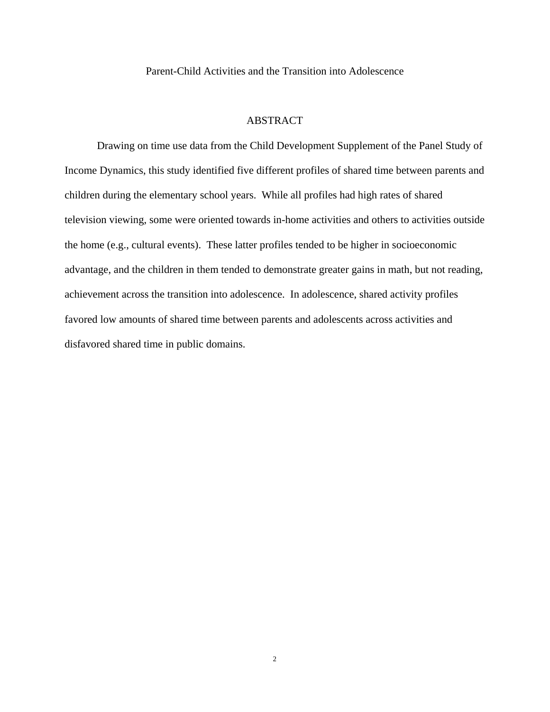Parent-Child Activities and the Transition into Adolescence

# **ABSTRACT**

Drawing on time use data from the Child Development Supplement of the Panel Study of Income Dynamics, this study identified five different profiles of shared time between parents and children during the elementary school years. While all profiles had high rates of shared television viewing, some were oriented towards in-home activities and others to activities outside the home (e.g., cultural events). These latter profiles tended to be higher in socioeconomic advantage, and the children in them tended to demonstrate greater gains in math, but not reading, achievement across the transition into adolescence. In adolescence, shared activity profiles favored low amounts of shared time between parents and adolescents across activities and disfavored shared time in public domains.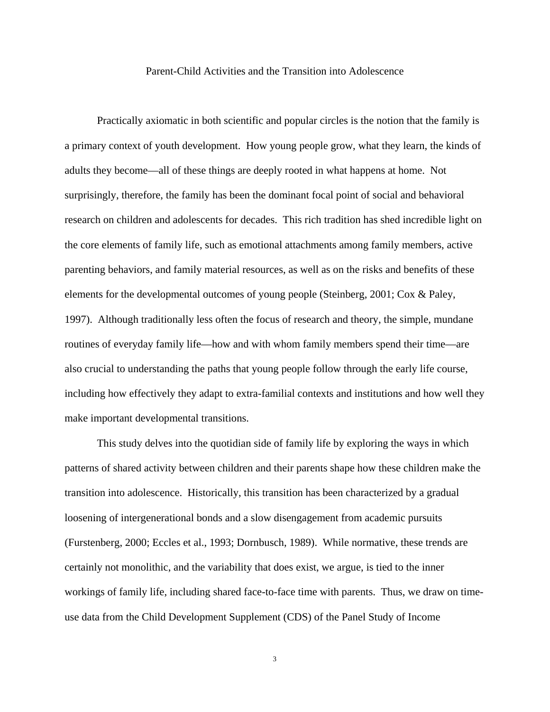## Parent-Child Activities and the Transition into Adolescence

Practically axiomatic in both scientific and popular circles is the notion that the family is a primary context of youth development. How young people grow, what they learn, the kinds of adults they become—all of these things are deeply rooted in what happens at home. Not surprisingly, therefore, the family has been the dominant focal point of social and behavioral research on children and adolescents for decades. This rich tradition has shed incredible light on the core elements of family life, such as emotional attachments among family members, active parenting behaviors, and family material resources, as well as on the risks and benefits of these elements for the developmental outcomes of young people (Steinberg, 2001; Cox & Paley, 1997). Although traditionally less often the focus of research and theory, the simple, mundane routines of everyday family life—how and with whom family members spend their time—are also crucial to understanding the paths that young people follow through the early life course, including how effectively they adapt to extra-familial contexts and institutions and how well they make important developmental transitions.

This study delves into the quotidian side of family life by exploring the ways in which patterns of shared activity between children and their parents shape how these children make the transition into adolescence. Historically, this transition has been characterized by a gradual loosening of intergenerational bonds and a slow disengagement from academic pursuits (Furstenberg, 2000; Eccles et al., 1993; Dornbusch, 1989). While normative, these trends are certainly not monolithic, and the variability that does exist, we argue, is tied to the inner workings of family life, including shared face-to-face time with parents. Thus, we draw on timeuse data from the Child Development Supplement (CDS) of the Panel Study of Income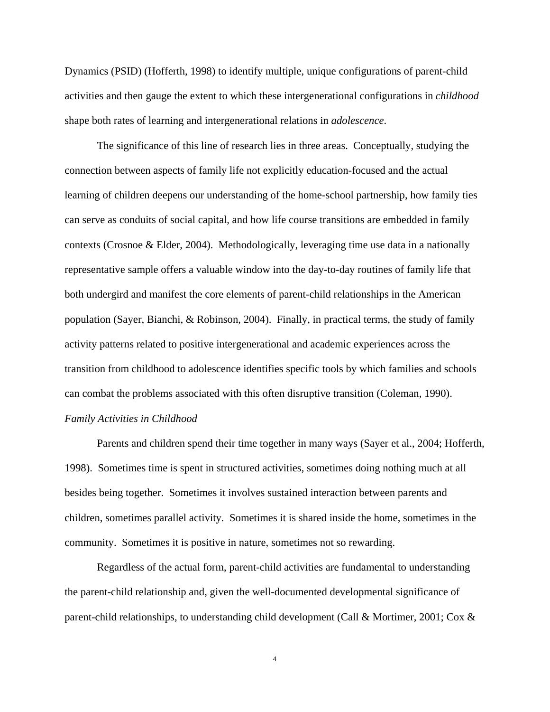Dynamics (PSID) (Hofferth, 1998) to identify multiple, unique configurations of parent-child activities and then gauge the extent to which these intergenerational configurations in *childhood* shape both rates of learning and intergenerational relations in *adolescence*.

The significance of this line of research lies in three areas. Conceptually, studying the connection between aspects of family life not explicitly education-focused and the actual learning of children deepens our understanding of the home-school partnership, how family ties can serve as conduits of social capital, and how life course transitions are embedded in family contexts (Crosnoe & Elder, 2004). Methodologically, leveraging time use data in a nationally representative sample offers a valuable window into the day-to-day routines of family life that both undergird and manifest the core elements of parent-child relationships in the American population (Sayer, Bianchi, & Robinson, 2004). Finally, in practical terms, the study of family activity patterns related to positive intergenerational and academic experiences across the transition from childhood to adolescence identifies specific tools by which families and schools can combat the problems associated with this often disruptive transition (Coleman, 1990). *Family Activities in Childhood* 

Parents and children spend their time together in many ways (Sayer et al., 2004; Hofferth, 1998). Sometimes time is spent in structured activities, sometimes doing nothing much at all besides being together. Sometimes it involves sustained interaction between parents and children, sometimes parallel activity. Sometimes it is shared inside the home, sometimes in the community. Sometimes it is positive in nature, sometimes not so rewarding.

Regardless of the actual form, parent-child activities are fundamental to understanding the parent-child relationship and, given the well-documented developmental significance of parent-child relationships, to understanding child development (Call & Mortimer, 2001; Cox &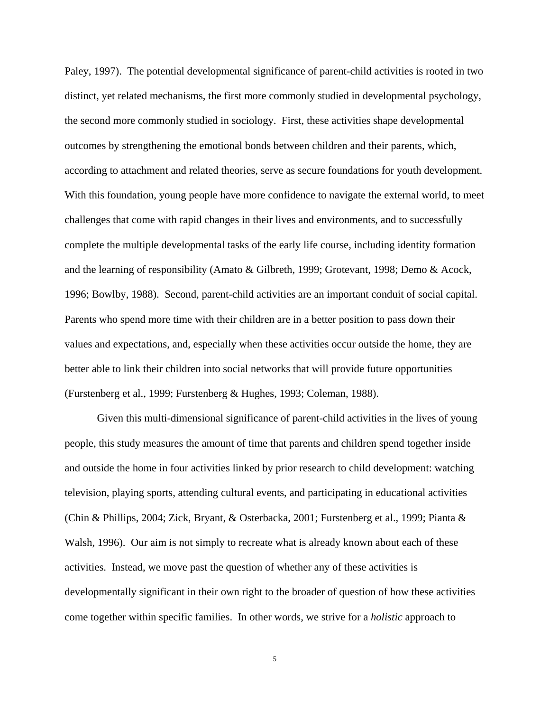Paley, 1997). The potential developmental significance of parent-child activities is rooted in two distinct, yet related mechanisms, the first more commonly studied in developmental psychology, the second more commonly studied in sociology. First, these activities shape developmental outcomes by strengthening the emotional bonds between children and their parents, which, according to attachment and related theories, serve as secure foundations for youth development. With this foundation, young people have more confidence to navigate the external world, to meet challenges that come with rapid changes in their lives and environments, and to successfully complete the multiple developmental tasks of the early life course, including identity formation and the learning of responsibility (Amato & Gilbreth, 1999; Grotevant, 1998; Demo & Acock, 1996; Bowlby, 1988). Second, parent-child activities are an important conduit of social capital. Parents who spend more time with their children are in a better position to pass down their values and expectations, and, especially when these activities occur outside the home, they are better able to link their children into social networks that will provide future opportunities (Furstenberg et al., 1999; Furstenberg & Hughes, 1993; Coleman, 1988).

Given this multi-dimensional significance of parent-child activities in the lives of young people, this study measures the amount of time that parents and children spend together inside and outside the home in four activities linked by prior research to child development: watching television, playing sports, attending cultural events, and participating in educational activities (Chin & Phillips, 2004; Zick, Bryant, & Osterbacka, 2001; Furstenberg et al., 1999; Pianta & Walsh, 1996). Our aim is not simply to recreate what is already known about each of these activities. Instead, we move past the question of whether any of these activities is developmentally significant in their own right to the broader of question of how these activities come together within specific families. In other words, we strive for a *holistic* approach to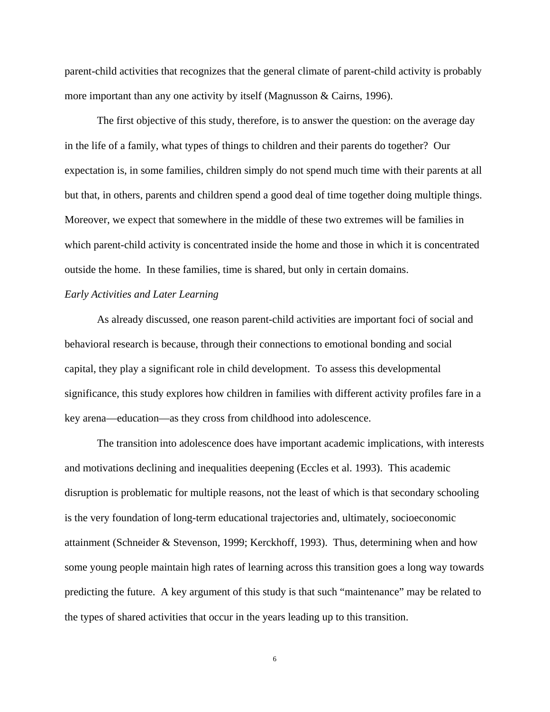parent-child activities that recognizes that the general climate of parent-child activity is probably more important than any one activity by itself (Magnusson & Cairns, 1996).

The first objective of this study, therefore, is to answer the question: on the average day in the life of a family, what types of things to children and their parents do together? Our expectation is, in some families, children simply do not spend much time with their parents at all but that, in others, parents and children spend a good deal of time together doing multiple things. Moreover, we expect that somewhere in the middle of these two extremes will be families in which parent-child activity is concentrated inside the home and those in which it is concentrated outside the home. In these families, time is shared, but only in certain domains.

# *Early Activities and Later Learning*

As already discussed, one reason parent-child activities are important foci of social and behavioral research is because, through their connections to emotional bonding and social capital, they play a significant role in child development. To assess this developmental significance, this study explores how children in families with different activity profiles fare in a key arena—education—as they cross from childhood into adolescence.

The transition into adolescence does have important academic implications, with interests and motivations declining and inequalities deepening (Eccles et al. 1993). This academic disruption is problematic for multiple reasons, not the least of which is that secondary schooling is the very foundation of long-term educational trajectories and, ultimately, socioeconomic attainment (Schneider & Stevenson, 1999; Kerckhoff, 1993). Thus, determining when and how some young people maintain high rates of learning across this transition goes a long way towards predicting the future. A key argument of this study is that such "maintenance" may be related to the types of shared activities that occur in the years leading up to this transition.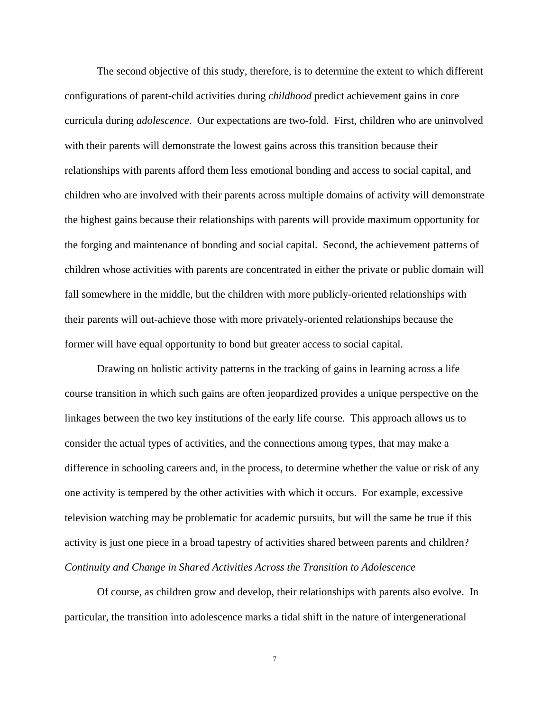The second objective of this study, therefore, is to determine the extent to which different configurations of parent-child activities during *childhood* predict achievement gains in core curricula during *adolescence*. Our expectations are two-fold. First, children who are uninvolved with their parents will demonstrate the lowest gains across this transition because their relationships with parents afford them less emotional bonding and access to social capital, and children who are involved with their parents across multiple domains of activity will demonstrate the highest gains because their relationships with parents will provide maximum opportunity for the forging and maintenance of bonding and social capital. Second, the achievement patterns of children whose activities with parents are concentrated in either the private or public domain will fall somewhere in the middle, but the children with more publicly-oriented relationships with their parents will out-achieve those with more privately-oriented relationships because the former will have equal opportunity to bond but greater access to social capital.

Drawing on holistic activity patterns in the tracking of gains in learning across a life course transition in which such gains are often jeopardized provides a unique perspective on the linkages between the two key institutions of the early life course. This approach allows us to consider the actual types of activities, and the connections among types, that may make a difference in schooling careers and, in the process, to determine whether the value or risk of any one activity is tempered by the other activities with which it occurs. For example, excessive television watching may be problematic for academic pursuits, but will the same be true if this activity is just one piece in a broad tapestry of activities shared between parents and children? *Continuity and Change in Shared Activities Across the Transition to Adolescence* 

Of course, as children grow and develop, their relationships with parents also evolve. In particular, the transition into adolescence marks a tidal shift in the nature of intergenerational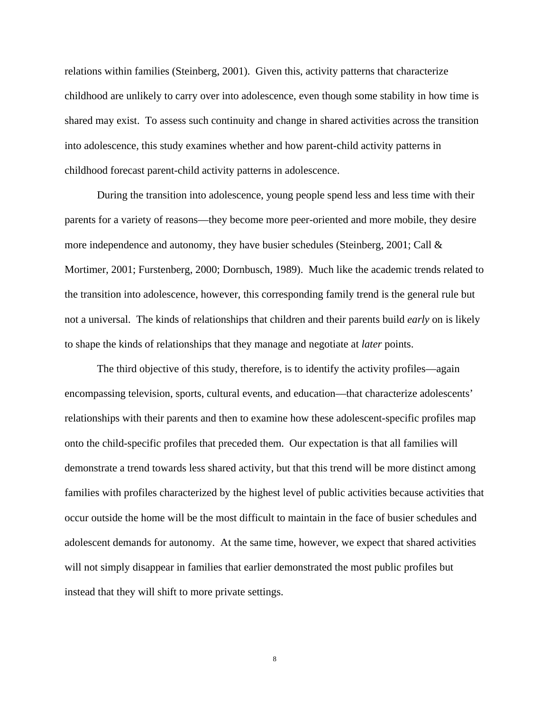relations within families (Steinberg, 2001). Given this, activity patterns that characterize childhood are unlikely to carry over into adolescence, even though some stability in how time is shared may exist. To assess such continuity and change in shared activities across the transition into adolescence, this study examines whether and how parent-child activity patterns in childhood forecast parent-child activity patterns in adolescence.

During the transition into adolescence, young people spend less and less time with their parents for a variety of reasons—they become more peer-oriented and more mobile, they desire more independence and autonomy, they have busier schedules (Steinberg, 2001; Call & Mortimer, 2001; Furstenberg, 2000; Dornbusch, 1989). Much like the academic trends related to the transition into adolescence, however, this corresponding family trend is the general rule but not a universal. The kinds of relationships that children and their parents build *early* on is likely to shape the kinds of relationships that they manage and negotiate at *later* points.

The third objective of this study, therefore, is to identify the activity profiles—again encompassing television, sports, cultural events, and education—that characterize adolescents' relationships with their parents and then to examine how these adolescent-specific profiles map onto the child-specific profiles that preceded them. Our expectation is that all families will demonstrate a trend towards less shared activity, but that this trend will be more distinct among families with profiles characterized by the highest level of public activities because activities that occur outside the home will be the most difficult to maintain in the face of busier schedules and adolescent demands for autonomy. At the same time, however, we expect that shared activities will not simply disappear in families that earlier demonstrated the most public profiles but instead that they will shift to more private settings.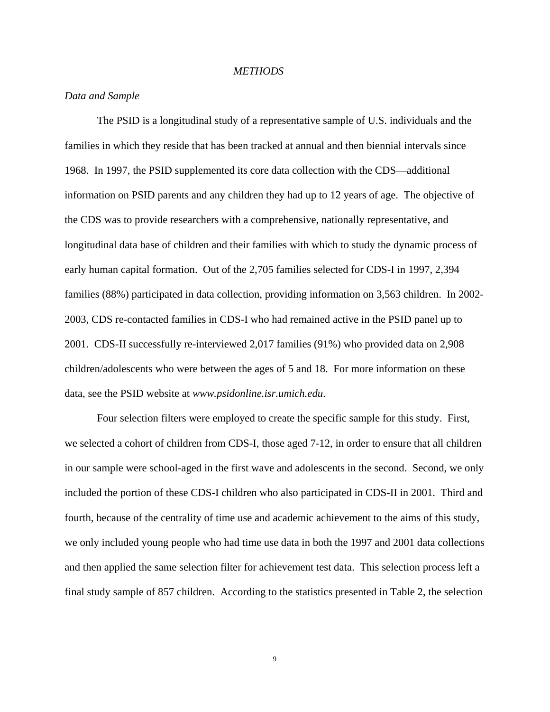### *METHODS*

## *Data and Sample*

The PSID is a longitudinal study of a representative sample of U.S. individuals and the families in which they reside that has been tracked at annual and then biennial intervals since 1968. In 1997, the PSID supplemented its core data collection with the CDS—additional information on PSID parents and any children they had up to 12 years of age. The objective of the CDS was to provide researchers with a comprehensive, nationally representative, and longitudinal data base of children and their families with which to study the dynamic process of early human capital formation. Out of the 2,705 families selected for CDS-I in 1997, 2,394 families (88%) participated in data collection, providing information on 3,563 children. In 2002- 2003, CDS re-contacted families in CDS-I who had remained active in the PSID panel up to 2001. CDS-II successfully re-interviewed 2,017 families (91%) who provided data on 2,908 children/adolescents who were between the ages of 5 and 18. For more information on these data, see the PSID website at *www.psidonline.isr.umich.edu*.

Four selection filters were employed to create the specific sample for this study. First, we selected a cohort of children from CDS-I, those aged 7-12, in order to ensure that all children in our sample were school-aged in the first wave and adolescents in the second. Second, we only included the portion of these CDS-I children who also participated in CDS-II in 2001. Third and fourth, because of the centrality of time use and academic achievement to the aims of this study, we only included young people who had time use data in both the 1997 and 2001 data collections and then applied the same selection filter for achievement test data. This selection process left a final study sample of 857 children. According to the statistics presented in Table 2, the selection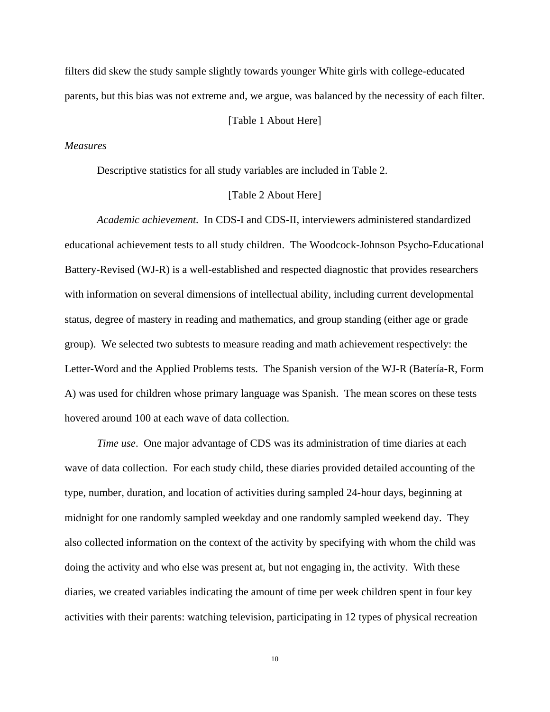filters did skew the study sample slightly towards younger White girls with college-educated parents, but this bias was not extreme and, we argue, was balanced by the necessity of each filter.

# [Table 1 About Here]

### *Measures*

Descriptive statistics for all study variables are included in Table 2.

# [Table 2 About Here]

*Academic achievement.* In CDS-I and CDS-II, interviewers administered standardized educational achievement tests to all study children. The Woodcock-Johnson Psycho-Educational Battery-Revised (WJ-R) is a well-established and respected diagnostic that provides researchers with information on several dimensions of intellectual ability, including current developmental status, degree of mastery in reading and mathematics, and group standing (either age or grade group). We selected two subtests to measure reading and math achievement respectively: the Letter-Word and the Applied Problems tests. The Spanish version of the WJ-R (Batería-R, Form A) was used for children whose primary language was Spanish. The mean scores on these tests hovered around 100 at each wave of data collection.

*Time use*. One major advantage of CDS was its administration of time diaries at each wave of data collection. For each study child, these diaries provided detailed accounting of the type, number, duration, and location of activities during sampled 24-hour days, beginning at midnight for one randomly sampled weekday and one randomly sampled weekend day. They also collected information on the context of the activity by specifying with whom the child was doing the activity and who else was present at, but not engaging in, the activity. With these diaries, we created variables indicating the amount of time per week children spent in four key activities with their parents: watching television, participating in 12 types of physical recreation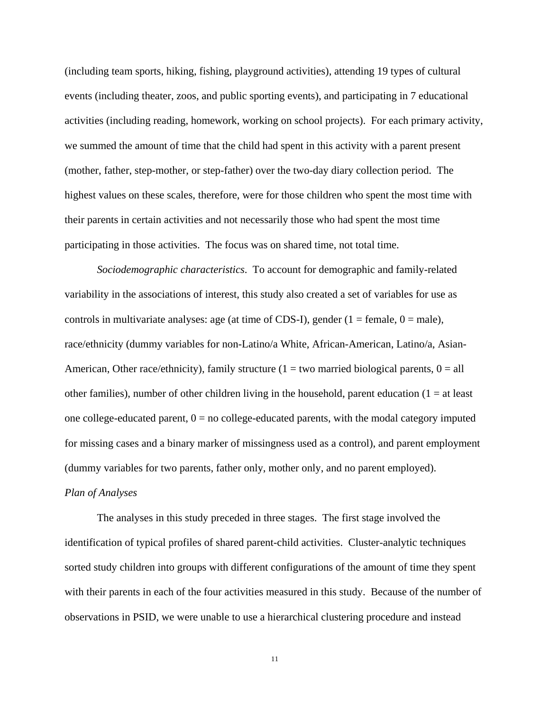(including team sports, hiking, fishing, playground activities), attending 19 types of cultural events (including theater, zoos, and public sporting events), and participating in 7 educational activities (including reading, homework, working on school projects). For each primary activity, we summed the amount of time that the child had spent in this activity with a parent present (mother, father, step-mother, or step-father) over the two-day diary collection period. The highest values on these scales, therefore, were for those children who spent the most time with their parents in certain activities and not necessarily those who had spent the most time participating in those activities. The focus was on shared time, not total time.

*Sociodemographic characteristics*. To account for demographic and family-related variability in the associations of interest, this study also created a set of variables for use as controls in multivariate analyses: age (at time of CDS-I), gender ( $1 =$  female,  $0 =$  male), race/ethnicity (dummy variables for non-Latino/a White, African-American, Latino/a, Asian-American, Other race/ethnicity), family structure ( $1 = two$  married biological parents,  $0 = all$ other families), number of other children living in the household, parent education  $(1 = at least$ one college-educated parent,  $0 = no$  college-educated parents, with the modal category imputed for missing cases and a binary marker of missingness used as a control), and parent employment (dummy variables for two parents, father only, mother only, and no parent employed). *Plan of Analyses* 

The analyses in this study preceded in three stages. The first stage involved the identification of typical profiles of shared parent-child activities. Cluster-analytic techniques sorted study children into groups with different configurations of the amount of time they spent with their parents in each of the four activities measured in this study. Because of the number of observations in PSID, we were unable to use a hierarchical clustering procedure and instead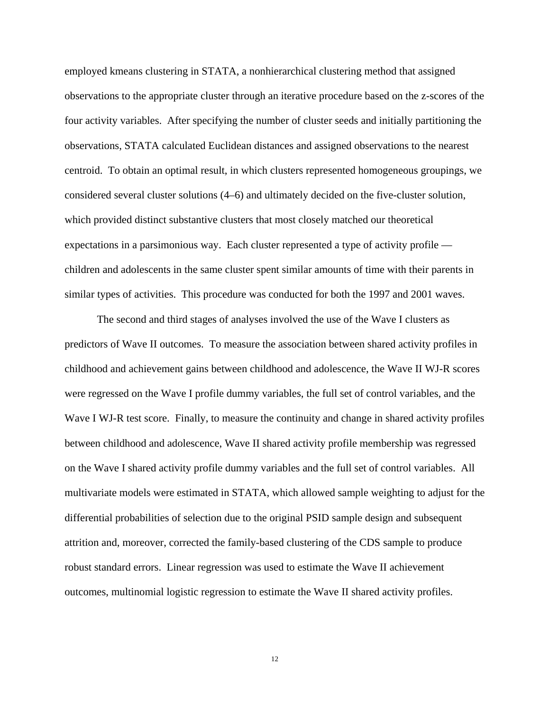employed kmeans clustering in STATA, a nonhierarchical clustering method that assigned observations to the appropriate cluster through an iterative procedure based on the z-scores of the four activity variables. After specifying the number of cluster seeds and initially partitioning the observations, STATA calculated Euclidean distances and assigned observations to the nearest centroid. To obtain an optimal result, in which clusters represented homogeneous groupings, we considered several cluster solutions (4–6) and ultimately decided on the five-cluster solution, which provided distinct substantive clusters that most closely matched our theoretical expectations in a parsimonious way. Each cluster represented a type of activity profile children and adolescents in the same cluster spent similar amounts of time with their parents in similar types of activities. This procedure was conducted for both the 1997 and 2001 waves.

The second and third stages of analyses involved the use of the Wave I clusters as predictors of Wave II outcomes. To measure the association between shared activity profiles in childhood and achievement gains between childhood and adolescence, the Wave II WJ-R scores were regressed on the Wave I profile dummy variables, the full set of control variables, and the Wave I WJ-R test score. Finally, to measure the continuity and change in shared activity profiles between childhood and adolescence, Wave II shared activity profile membership was regressed on the Wave I shared activity profile dummy variables and the full set of control variables. All multivariate models were estimated in STATA, which allowed sample weighting to adjust for the differential probabilities of selection due to the original PSID sample design and subsequent attrition and, moreover, corrected the family-based clustering of the CDS sample to produce robust standard errors. Linear regression was used to estimate the Wave II achievement outcomes, multinomial logistic regression to estimate the Wave II shared activity profiles.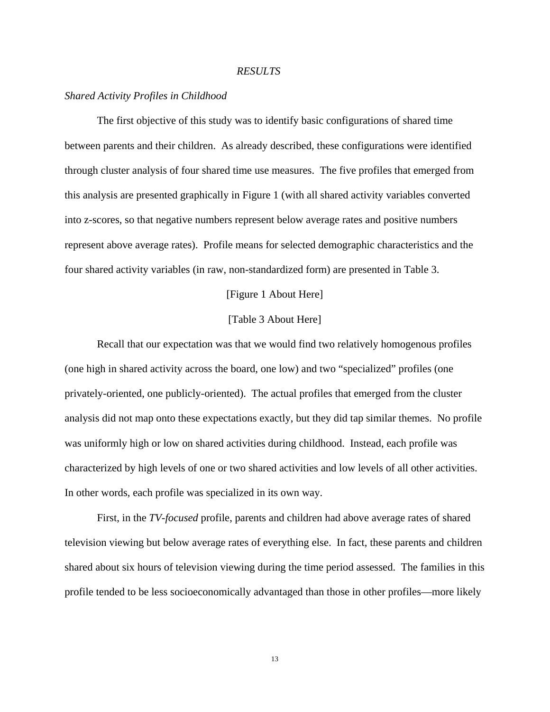## *RESULTS*

## *Shared Activity Profiles in Childhood*

The first objective of this study was to identify basic configurations of shared time between parents and their children. As already described, these configurations were identified through cluster analysis of four shared time use measures. The five profiles that emerged from this analysis are presented graphically in Figure 1 (with all shared activity variables converted into z-scores, so that negative numbers represent below average rates and positive numbers represent above average rates). Profile means for selected demographic characteristics and the four shared activity variables (in raw, non-standardized form) are presented in Table 3.

[Figure 1 About Here]

### [Table 3 About Here]

Recall that our expectation was that we would find two relatively homogenous profiles (one high in shared activity across the board, one low) and two "specialized" profiles (one privately-oriented, one publicly-oriented). The actual profiles that emerged from the cluster analysis did not map onto these expectations exactly, but they did tap similar themes. No profile was uniformly high or low on shared activities during childhood. Instead, each profile was characterized by high levels of one or two shared activities and low levels of all other activities. In other words, each profile was specialized in its own way.

First, in the *TV-focused* profile, parents and children had above average rates of shared television viewing but below average rates of everything else. In fact, these parents and children shared about six hours of television viewing during the time period assessed. The families in this profile tended to be less socioeconomically advantaged than those in other profiles—more likely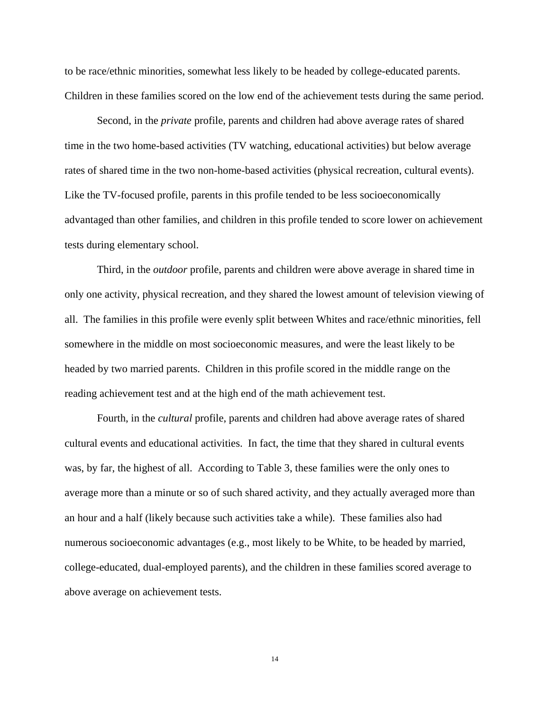to be race/ethnic minorities, somewhat less likely to be headed by college-educated parents. Children in these families scored on the low end of the achievement tests during the same period.

Second, in the *private* profile, parents and children had above average rates of shared time in the two home-based activities (TV watching, educational activities) but below average rates of shared time in the two non-home-based activities (physical recreation, cultural events). Like the TV-focused profile, parents in this profile tended to be less socioeconomically advantaged than other families, and children in this profile tended to score lower on achievement tests during elementary school.

Third, in the *outdoor* profile, parents and children were above average in shared time in only one activity, physical recreation, and they shared the lowest amount of television viewing of all. The families in this profile were evenly split between Whites and race/ethnic minorities, fell somewhere in the middle on most socioeconomic measures, and were the least likely to be headed by two married parents. Children in this profile scored in the middle range on the reading achievement test and at the high end of the math achievement test.

Fourth, in the *cultural* profile, parents and children had above average rates of shared cultural events and educational activities. In fact, the time that they shared in cultural events was, by far, the highest of all. According to Table 3, these families were the only ones to average more than a minute or so of such shared activity, and they actually averaged more than an hour and a half (likely because such activities take a while). These families also had numerous socioeconomic advantages (e.g., most likely to be White, to be headed by married, college-educated, dual-employed parents), and the children in these families scored average to above average on achievement tests.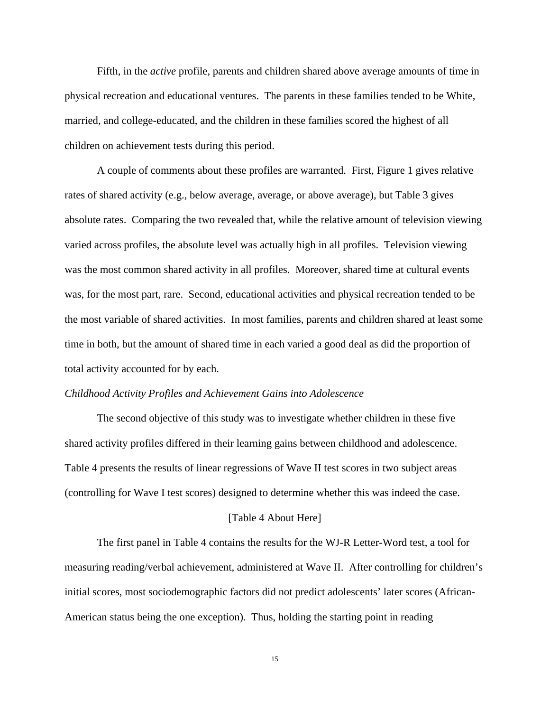Fifth, in the *active* profile, parents and children shared above average amounts of time in physical recreation and educational ventures. The parents in these families tended to be White, married, and college-educated, and the children in these families scored the highest of all children on achievement tests during this period.

A couple of comments about these profiles are warranted. First, Figure 1 gives relative rates of shared activity (e.g., below average, average, or above average), but Table 3 gives absolute rates. Comparing the two revealed that, while the relative amount of television viewing varied across profiles, the absolute level was actually high in all profiles. Television viewing was the most common shared activity in all profiles. Moreover, shared time at cultural events was, for the most part, rare. Second, educational activities and physical recreation tended to be the most variable of shared activities. In most families, parents and children shared at least some time in both, but the amount of shared time in each varied a good deal as did the proportion of total activity accounted for by each.

#### *Childhood Activity Profiles and Achievement Gains into Adolescence*

The second objective of this study was to investigate whether children in these five shared activity profiles differed in their learning gains between childhood and adolescence. Table 4 presents the results of linear regressions of Wave II test scores in two subject areas (controlling for Wave I test scores) designed to determine whether this was indeed the case.

#### [Table 4 About Here]

The first panel in Table 4 contains the results for the WJ-R Letter-Word test, a tool for measuring reading/verbal achievement, administered at Wave II. After controlling for children's initial scores, most sociodemographic factors did not predict adolescents' later scores (African-American status being the one exception). Thus, holding the starting point in reading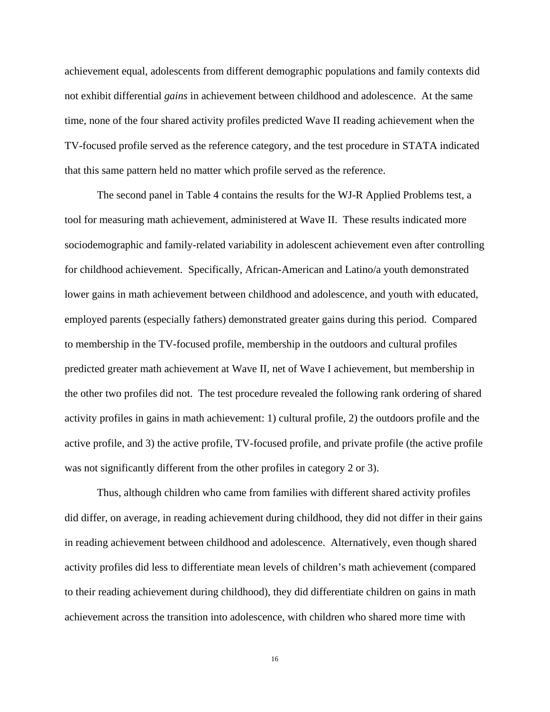achievement equal, adolescents from different demographic populations and family contexts did not exhibit differential *gains* in achievement between childhood and adolescence. At the same time, none of the four shared activity profiles predicted Wave II reading achievement when the TV-focused profile served as the reference category, and the test procedure in STATA indicated that this same pattern held no matter which profile served as the reference.

The second panel in Table 4 contains the results for the WJ-R Applied Problems test, a tool for measuring math achievement, administered at Wave II. These results indicated more sociodemographic and family-related variability in adolescent achievement even after controlling for childhood achievement. Specifically, African-American and Latino/a youth demonstrated lower gains in math achievement between childhood and adolescence, and youth with educated, employed parents (especially fathers) demonstrated greater gains during this period. Compared to membership in the TV-focused profile, membership in the outdoors and cultural profiles predicted greater math achievement at Wave II, net of Wave I achievement, but membership in the other two profiles did not. The test procedure revealed the following rank ordering of shared activity profiles in gains in math achievement: 1) cultural profile, 2) the outdoors profile and the active profile, and 3) the active profile, TV-focused profile, and private profile (the active profile was not significantly different from the other profiles in category 2 or 3).

Thus, although children who came from families with different shared activity profiles did differ, on average, in reading achievement during childhood, they did not differ in their gains in reading achievement between childhood and adolescence. Alternatively, even though shared activity profiles did less to differentiate mean levels of children's math achievement (compared to their reading achievement during childhood), they did differentiate children on gains in math achievement across the transition into adolescence, with children who shared more time with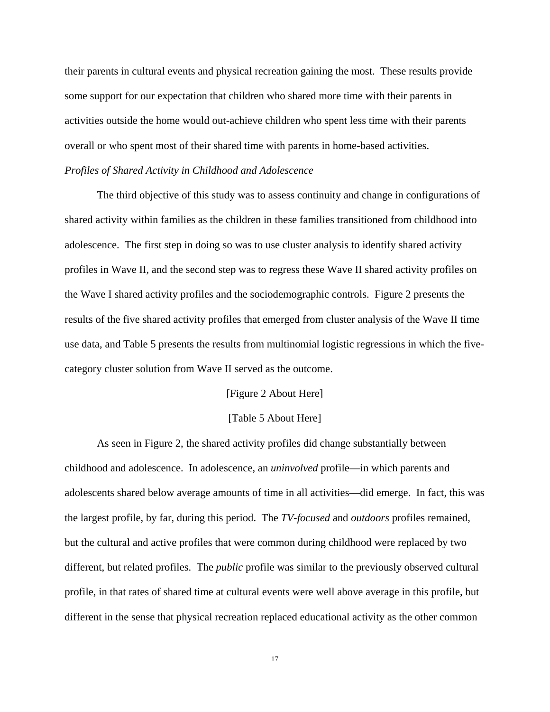their parents in cultural events and physical recreation gaining the most. These results provide some support for our expectation that children who shared more time with their parents in activities outside the home would out-achieve children who spent less time with their parents overall or who spent most of their shared time with parents in home-based activities.

# *Profiles of Shared Activity in Childhood and Adolescence*

The third objective of this study was to assess continuity and change in configurations of shared activity within families as the children in these families transitioned from childhood into adolescence. The first step in doing so was to use cluster analysis to identify shared activity profiles in Wave II, and the second step was to regress these Wave II shared activity profiles on the Wave I shared activity profiles and the sociodemographic controls. Figure 2 presents the results of the five shared activity profiles that emerged from cluster analysis of the Wave II time use data, and Table 5 presents the results from multinomial logistic regressions in which the fivecategory cluster solution from Wave II served as the outcome.

## [Figure 2 About Here]

#### [Table 5 About Here]

As seen in Figure 2, the shared activity profiles did change substantially between childhood and adolescence. In adolescence, an *uninvolved* profile—in which parents and adolescents shared below average amounts of time in all activities—did emerge. In fact, this was the largest profile, by far, during this period. The *TV-focused* and *outdoors* profiles remained, but the cultural and active profiles that were common during childhood were replaced by two different, but related profiles. The *public* profile was similar to the previously observed cultural profile, in that rates of shared time at cultural events were well above average in this profile, but different in the sense that physical recreation replaced educational activity as the other common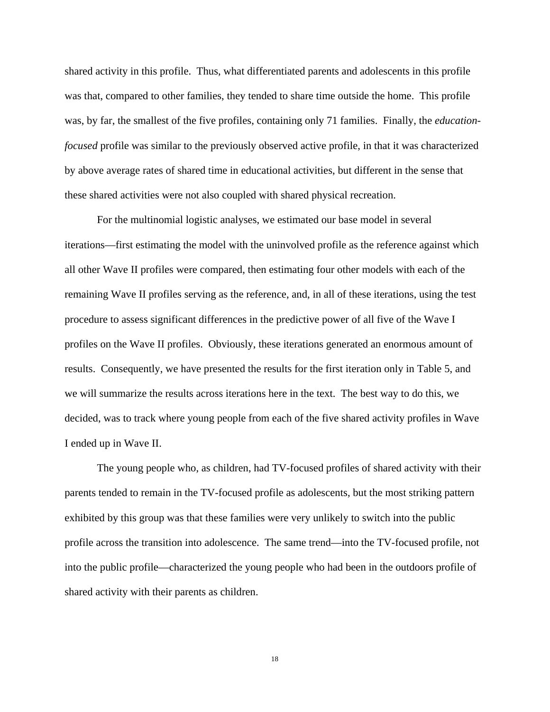shared activity in this profile. Thus, what differentiated parents and adolescents in this profile was that, compared to other families, they tended to share time outside the home. This profile was, by far, the smallest of the five profiles, containing only 71 families. Finally, the *educationfocused* profile was similar to the previously observed active profile, in that it was characterized by above average rates of shared time in educational activities, but different in the sense that these shared activities were not also coupled with shared physical recreation.

For the multinomial logistic analyses, we estimated our base model in several iterations—first estimating the model with the uninvolved profile as the reference against which all other Wave II profiles were compared, then estimating four other models with each of the remaining Wave II profiles serving as the reference, and, in all of these iterations, using the test procedure to assess significant differences in the predictive power of all five of the Wave I profiles on the Wave II profiles. Obviously, these iterations generated an enormous amount of results. Consequently, we have presented the results for the first iteration only in Table 5, and we will summarize the results across iterations here in the text. The best way to do this, we decided, was to track where young people from each of the five shared activity profiles in Wave I ended up in Wave II.

The young people who, as children, had TV-focused profiles of shared activity with their parents tended to remain in the TV-focused profile as adolescents, but the most striking pattern exhibited by this group was that these families were very unlikely to switch into the public profile across the transition into adolescence. The same trend—into the TV-focused profile, not into the public profile—characterized the young people who had been in the outdoors profile of shared activity with their parents as children.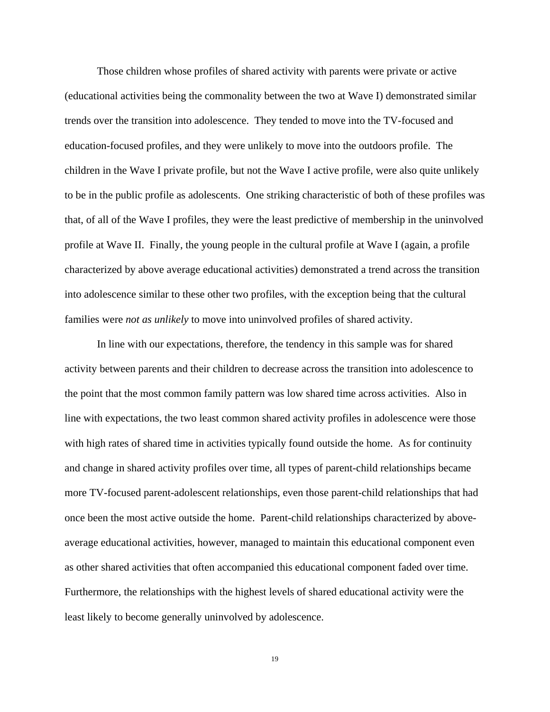Those children whose profiles of shared activity with parents were private or active (educational activities being the commonality between the two at Wave I) demonstrated similar trends over the transition into adolescence. They tended to move into the TV-focused and education-focused profiles, and they were unlikely to move into the outdoors profile. The children in the Wave I private profile, but not the Wave I active profile, were also quite unlikely to be in the public profile as adolescents. One striking characteristic of both of these profiles was that, of all of the Wave I profiles, they were the least predictive of membership in the uninvolved profile at Wave II. Finally, the young people in the cultural profile at Wave I (again, a profile characterized by above average educational activities) demonstrated a trend across the transition into adolescence similar to these other two profiles, with the exception being that the cultural families were *not as unlikely* to move into uninvolved profiles of shared activity.

In line with our expectations, therefore, the tendency in this sample was for shared activity between parents and their children to decrease across the transition into adolescence to the point that the most common family pattern was low shared time across activities. Also in line with expectations, the two least common shared activity profiles in adolescence were those with high rates of shared time in activities typically found outside the home. As for continuity and change in shared activity profiles over time, all types of parent-child relationships became more TV-focused parent-adolescent relationships, even those parent-child relationships that had once been the most active outside the home. Parent-child relationships characterized by aboveaverage educational activities, however, managed to maintain this educational component even as other shared activities that often accompanied this educational component faded over time. Furthermore, the relationships with the highest levels of shared educational activity were the least likely to become generally uninvolved by adolescence.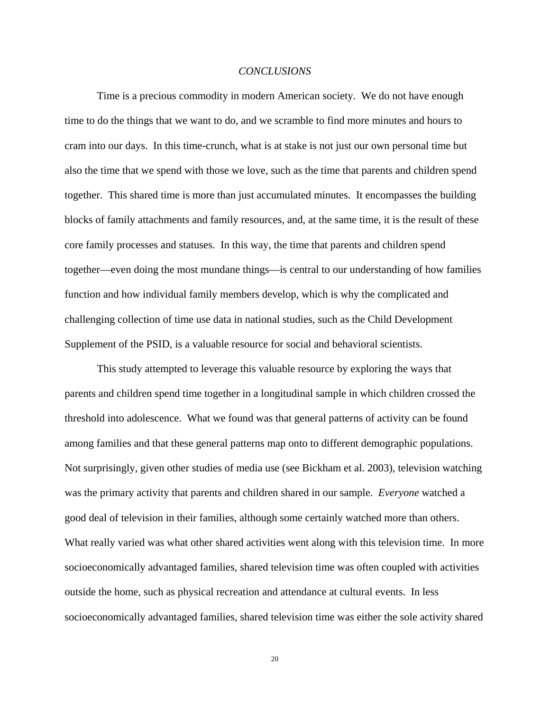#### *CONCLUSIONS*

Time is a precious commodity in modern American society. We do not have enough time to do the things that we want to do, and we scramble to find more minutes and hours to cram into our days. In this time-crunch, what is at stake is not just our own personal time but also the time that we spend with those we love, such as the time that parents and children spend together. This shared time is more than just accumulated minutes. It encompasses the building blocks of family attachments and family resources, and, at the same time, it is the result of these core family processes and statuses. In this way, the time that parents and children spend together—even doing the most mundane things—is central to our understanding of how families function and how individual family members develop, which is why the complicated and challenging collection of time use data in national studies, such as the Child Development Supplement of the PSID, is a valuable resource for social and behavioral scientists.

This study attempted to leverage this valuable resource by exploring the ways that parents and children spend time together in a longitudinal sample in which children crossed the threshold into adolescence. What we found was that general patterns of activity can be found among families and that these general patterns map onto to different demographic populations. Not surprisingly, given other studies of media use (see Bickham et al. 2003), television watching was the primary activity that parents and children shared in our sample. *Everyone* watched a good deal of television in their families, although some certainly watched more than others. What really varied was what other shared activities went along with this television time. In more socioeconomically advantaged families, shared television time was often coupled with activities outside the home, such as physical recreation and attendance at cultural events. In less socioeconomically advantaged families, shared television time was either the sole activity shared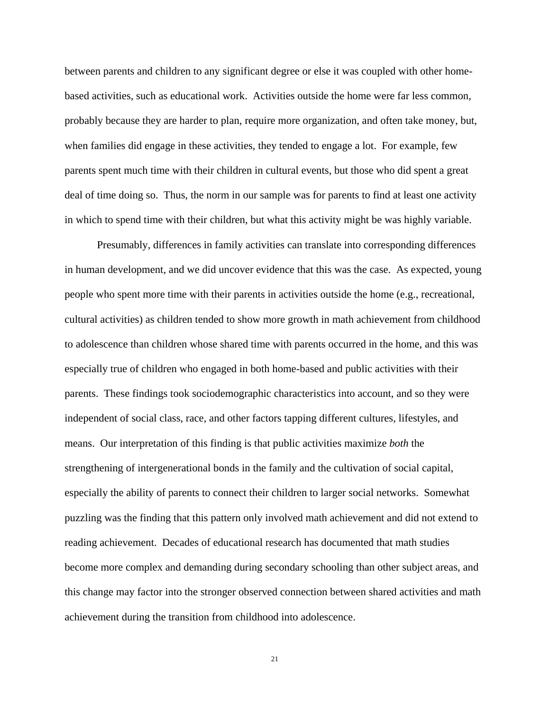between parents and children to any significant degree or else it was coupled with other homebased activities, such as educational work. Activities outside the home were far less common, probably because they are harder to plan, require more organization, and often take money, but, when families did engage in these activities, they tended to engage a lot. For example, few parents spent much time with their children in cultural events, but those who did spent a great deal of time doing so. Thus, the norm in our sample was for parents to find at least one activity in which to spend time with their children, but what this activity might be was highly variable.

Presumably, differences in family activities can translate into corresponding differences in human development, and we did uncover evidence that this was the case. As expected, young people who spent more time with their parents in activities outside the home (e.g., recreational, cultural activities) as children tended to show more growth in math achievement from childhood to adolescence than children whose shared time with parents occurred in the home, and this was especially true of children who engaged in both home-based and public activities with their parents. These findings took sociodemographic characteristics into account, and so they were independent of social class, race, and other factors tapping different cultures, lifestyles, and means. Our interpretation of this finding is that public activities maximize *both* the strengthening of intergenerational bonds in the family and the cultivation of social capital, especially the ability of parents to connect their children to larger social networks. Somewhat puzzling was the finding that this pattern only involved math achievement and did not extend to reading achievement. Decades of educational research has documented that math studies become more complex and demanding during secondary schooling than other subject areas, and this change may factor into the stronger observed connection between shared activities and math achievement during the transition from childhood into adolescence.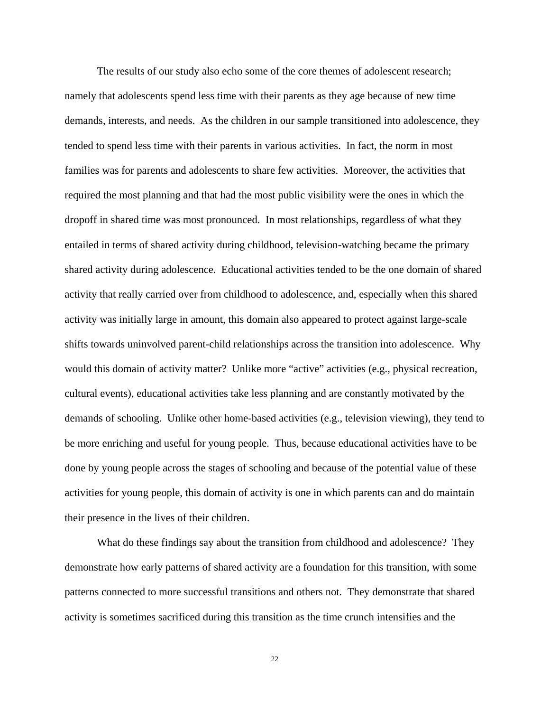The results of our study also echo some of the core themes of adolescent research; namely that adolescents spend less time with their parents as they age because of new time demands, interests, and needs. As the children in our sample transitioned into adolescence, they tended to spend less time with their parents in various activities. In fact, the norm in most families was for parents and adolescents to share few activities. Moreover, the activities that required the most planning and that had the most public visibility were the ones in which the dropoff in shared time was most pronounced. In most relationships, regardless of what they entailed in terms of shared activity during childhood, television-watching became the primary shared activity during adolescence. Educational activities tended to be the one domain of shared activity that really carried over from childhood to adolescence, and, especially when this shared activity was initially large in amount, this domain also appeared to protect against large-scale shifts towards uninvolved parent-child relationships across the transition into adolescence. Why would this domain of activity matter? Unlike more "active" activities (e.g., physical recreation, cultural events), educational activities take less planning and are constantly motivated by the demands of schooling. Unlike other home-based activities (e.g., television viewing), they tend to be more enriching and useful for young people. Thus, because educational activities have to be done by young people across the stages of schooling and because of the potential value of these activities for young people, this domain of activity is one in which parents can and do maintain their presence in the lives of their children.

What do these findings say about the transition from childhood and adolescence? They demonstrate how early patterns of shared activity are a foundation for this transition, with some patterns connected to more successful transitions and others not. They demonstrate that shared activity is sometimes sacrificed during this transition as the time crunch intensifies and the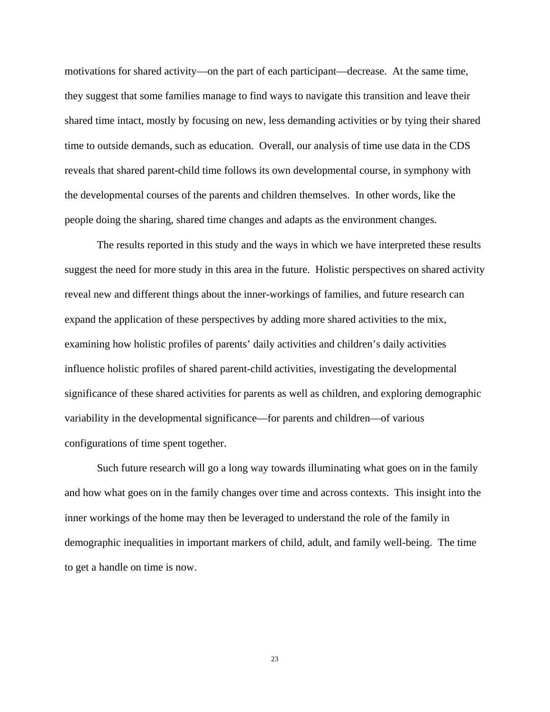motivations for shared activity—on the part of each participant—decrease. At the same time, they suggest that some families manage to find ways to navigate this transition and leave their shared time intact, mostly by focusing on new, less demanding activities or by tying their shared time to outside demands, such as education. Overall, our analysis of time use data in the CDS reveals that shared parent-child time follows its own developmental course, in symphony with the developmental courses of the parents and children themselves. In other words, like the people doing the sharing, shared time changes and adapts as the environment changes.

The results reported in this study and the ways in which we have interpreted these results suggest the need for more study in this area in the future. Holistic perspectives on shared activity reveal new and different things about the inner-workings of families, and future research can expand the application of these perspectives by adding more shared activities to the mix, examining how holistic profiles of parents' daily activities and children's daily activities influence holistic profiles of shared parent-child activities, investigating the developmental significance of these shared activities for parents as well as children, and exploring demographic variability in the developmental significance—for parents and children—of various configurations of time spent together.

Such future research will go a long way towards illuminating what goes on in the family and how what goes on in the family changes over time and across contexts. This insight into the inner workings of the home may then be leveraged to understand the role of the family in demographic inequalities in important markers of child, adult, and family well-being. The time to get a handle on time is now.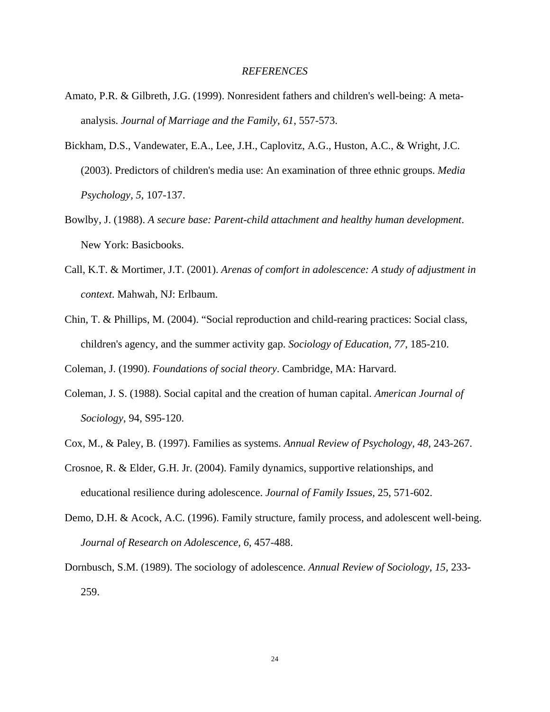### *REFERENCES*

- Amato, P.R. & Gilbreth, J.G. (1999). Nonresident fathers and children's well-being: A metaanalysis. *Journal of Marriage and the Family, 61*, 557-573.
- Bickham, D.S., Vandewater, E.A., Lee, J.H., Caplovitz, A.G., Huston, A.C., & Wright, J.C. (2003). Predictors of children's media use: An examination of three ethnic groups. *Media Psychology, 5,* 107-137.
- Bowlby, J. (1988). *A secure base: Parent-child attachment and healthy human development*. New York: Basicbooks.
- Call, K.T. & Mortimer, J.T. (2001). *Arenas of comfort in adolescence: A study of adjustment in context*. Mahwah, NJ: Erlbaum.
- Chin, T. & Phillips, M. (2004). "Social reproduction and child-rearing practices: Social class, children's agency, and the summer activity gap. *Sociology of Education, 77*, 185-210.

Coleman, J. (1990). *Foundations of social theory*. Cambridge, MA: Harvard.

- Coleman, J. S. (1988). Social capital and the creation of human capital. *American Journal of Sociology*, 94, S95-120.
- Cox, M., & Paley, B. (1997). Families as systems. *Annual Review of Psychology, 48,* 243-267.
- Crosnoe, R. & Elder, G.H. Jr. (2004). Family dynamics, supportive relationships, and educational resilience during adolescence. *Journal of Family Issues,* 25, 571-602.
- Demo, D.H. & Acock, A.C. (1996). Family structure, family process, and adolescent well-being. *Journal of Research on Adolescence, 6*, 457-488.
- Dornbusch, S.M. (1989). The sociology of adolescence. *Annual Review of Sociology, 15,* 233- 259.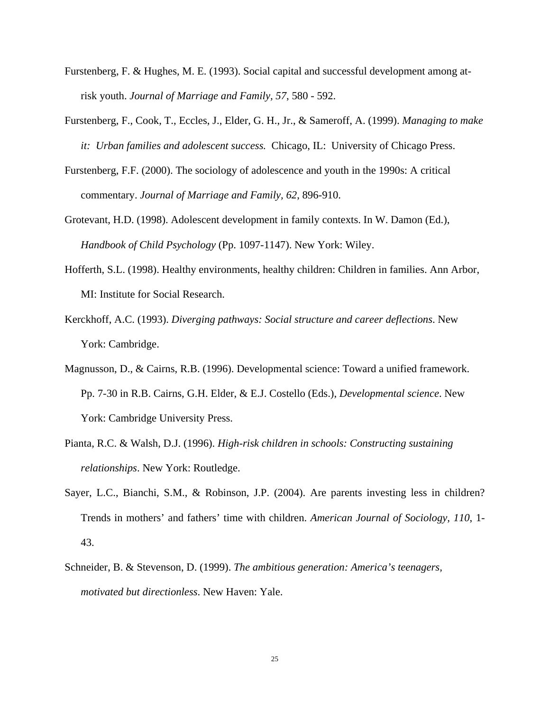- Furstenberg, F. & Hughes, M. E. (1993). Social capital and successful development among atrisk youth. *Journal of Marriage and Family, 57*, 580 - 592.
- Furstenberg, F., Cook, T., Eccles, J., Elder, G. H., Jr., & Sameroff, A. (1999). *Managing to make it: Urban families and adolescent success.* Chicago, IL: University of Chicago Press.
- Furstenberg, F.F. (2000). The sociology of adolescence and youth in the 1990s: A critical commentary. *Journal of Marriage and Family, 62*, 896-910.
- Grotevant, H.D. (1998). Adolescent development in family contexts. In W. Damon (Ed.), *Handbook of Child Psychology* (Pp. 1097-1147). New York: Wiley.
- Hofferth, S.L. (1998). Healthy environments, healthy children: Children in families. Ann Arbor, MI: Institute for Social Research.
- Kerckhoff, A.C. (1993). *Diverging pathways: Social structure and career deflections*. New York: Cambridge.
- Magnusson, D., & Cairns, R.B. (1996). Developmental science: Toward a unified framework. Pp. 7-30 in R.B. Cairns, G.H. Elder, & E.J. Costello (Eds.), *Developmental science*. New York: Cambridge University Press.
- Pianta, R.C. & Walsh, D.J. (1996). *High-risk children in schools: Constructing sustaining relationships*. New York: Routledge.
- Sayer, L.C., Bianchi, S.M., & Robinson, J.P. (2004). Are parents investing less in children? Trends in mothers' and fathers' time with children. *American Journal of Sociology, 110*, 1- 43.
- Schneider, B. & Stevenson, D. (1999). *The ambitious generation: America's teenagers, motivated but directionless*. New Haven: Yale.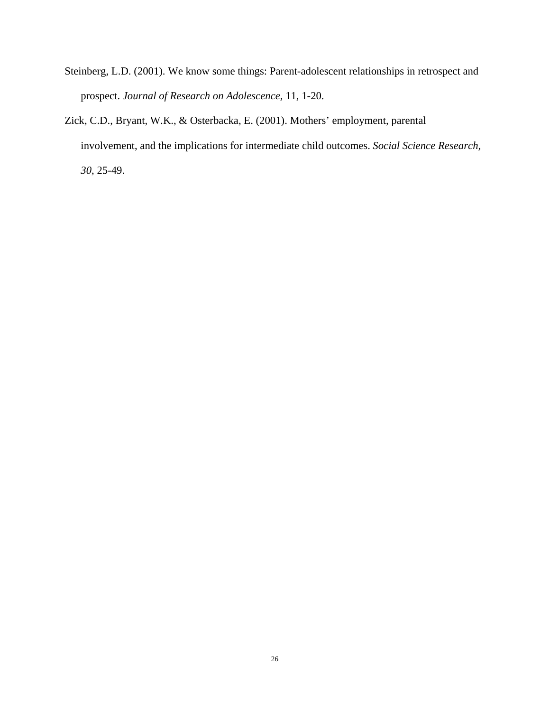- Steinberg, L.D. (2001). We know some things: Parent-adolescent relationships in retrospect and prospect. *Journal of Research on Adolescence,* 11, 1-20.
- Zick, C.D., Bryant, W.K., & Osterbacka, E. (2001). Mothers' employment, parental involvement, and the implications for intermediate child outcomes. *Social Science Research, 30*, 25-49.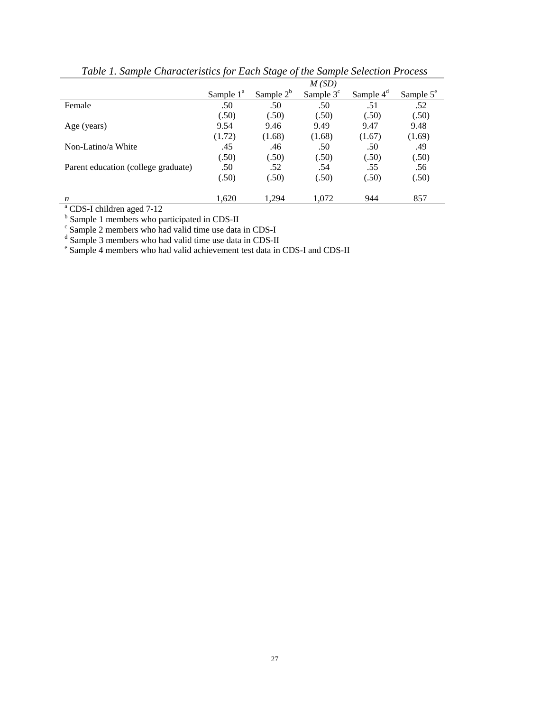|                                                 | M(SD)        |              |             |             |                    |
|-------------------------------------------------|--------------|--------------|-------------|-------------|--------------------|
|                                                 | Sample $1^a$ | Sample $2^b$ | Sample $3c$ | Sample $4d$ | Sample $5^{\circ}$ |
| Female                                          | .50          | .50          | .50         | .51         | .52                |
|                                                 | (.50)        | (.50)        | (.50)       | (.50)       | (.50)              |
| Age (years)                                     | 9.54         | 9.46         | 9.49        | 9.47        | 9.48               |
|                                                 | (1.72)       | (1.68)       | (1.68)      | (1.67)      | (1.69)             |
| Non-Latino/a White                              | .45          | .46          | .50         | .50         | .49                |
|                                                 | (.50)        | (.50)        | (.50)       | (.50)       | (.50)              |
| Parent education (college graduate)             | .50          | .52          | .54         | .55         | .56                |
|                                                 | (.50)        | (.50)        | (.50)       | (.50)       | (.50)              |
| n                                               | 1,620        | 1,294        | 1,072       | 944         | 857                |
| <sup>a</sup> CDS-I children aged 7-12           |              |              |             |             |                    |
| $b$ Sample 1 mambage who negliginated in CDS II |              |              |             |             |                    |

*Table 1. Sample Characteristics for Each Stage of the Sample Selection Process* 

 $\frac{1}{2}$  Sample 1 members who participated in CDS-II

 $\frac{1}{6}$  Sample 2 members who had valid time use data in CDS-I  $\frac{1}{6}$  Sample 3 members who had valid time use data in CDS-II

 $\rm{^e}$  Sample 3 members who had valid time use data in CDS-II<br> $\rm{^e}$  Sample 4 members who had valid achievement test data in CDS-I and CDS-II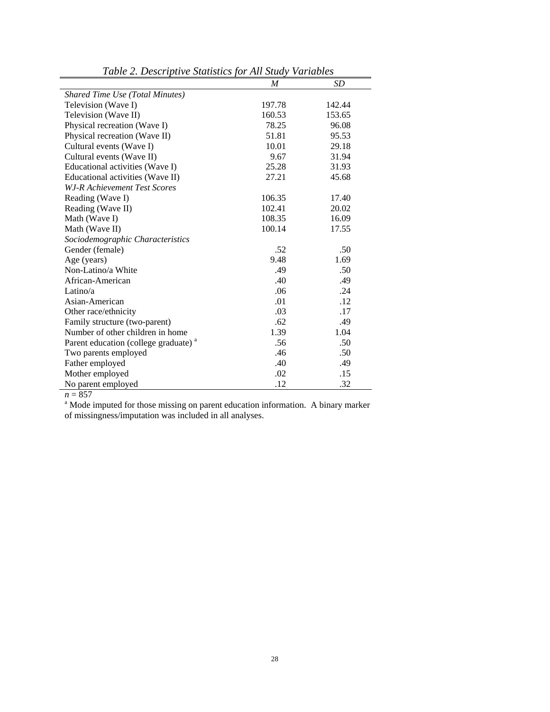|                                                  | M      | SD     |
|--------------------------------------------------|--------|--------|
| <b>Shared Time Use (Total Minutes)</b>           |        |        |
| Television (Wave I)                              | 197.78 | 142.44 |
| Television (Wave II)                             | 160.53 | 153.65 |
| Physical recreation (Wave I)                     | 78.25  | 96.08  |
| Physical recreation (Wave II)                    | 51.81  | 95.53  |
| Cultural events (Wave I)                         | 10.01  | 29.18  |
| Cultural events (Wave II)                        | 9.67   | 31.94  |
| Educational activities (Wave I)                  | 25.28  | 31.93  |
| Educational activities (Wave II)                 | 27.21  | 45.68  |
| W.J-R Achievement Test Scores                    |        |        |
| Reading (Wave I)                                 | 106.35 | 17.40  |
| Reading (Wave II)                                | 102.41 | 20.02  |
| Math (Wave I)                                    | 108.35 | 16.09  |
| Math (Wave II)                                   | 100.14 | 17.55  |
| Sociodemographic Characteristics                 |        |        |
| Gender (female)                                  | .52    | .50    |
| Age (years)                                      | 9.48   | 1.69   |
| Non-Latino/a White                               | .49    | .50    |
| African-American                                 | .40    | .49    |
| Latino/a                                         | .06    | .24    |
| Asian-American                                   | .01    | .12    |
| Other race/ethnicity                             | .03    | .17    |
| Family structure (two-parent)                    | .62    | .49    |
| Number of other children in home                 | 1.39   | 1.04   |
| Parent education (college graduate) <sup>a</sup> | .56    | .50    |
| Two parents employed                             | .46    | .50    |
| Father employed                                  | .40    | .49    |
| Mother employed                                  | .02    | .15    |
| No parent employed                               | .12    | .32    |

*Table 2. Descriptive Statistics for All Study Variables*

 $n = 857$ 

<sup>a</sup> Mode imputed for those missing on parent education information. A binary marker of missingness/imputation was included in all analyses.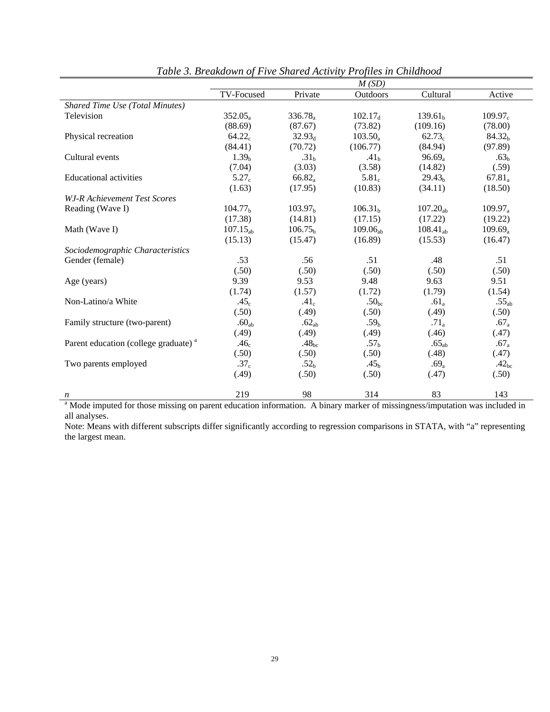|                                                  | M(SD)               |                     |                     |                     |                    |
|--------------------------------------------------|---------------------|---------------------|---------------------|---------------------|--------------------|
|                                                  | TV-Focused          | Private             | Outdoors            | Cultural            | Active             |
| Shared Time Use (Total Minutes)                  |                     |                     |                     |                     |                    |
| Television                                       | $352.05_a$          | $336.78_a$          | $102.17_d$          | 139.61 <sub>b</sub> | $109.97_c$         |
|                                                  | (88.69)             | (87.67)             | (73.82)             | (109.16)            | (78.00)            |
| Physical recreation                              | $64.22_c$           | 32.93 <sub>d</sub>  | $103.50_a$          | $62.73_c$           | 84.32 <sub>b</sub> |
|                                                  | (84.41)             | (70.72)             | (106.77)            | (84.94)             | (97.89)            |
| Cultural events                                  | 1.39 <sub>b</sub>   | .31 <sub>b</sub>    | .41 <sub>h</sub>    | $96.69_a$           | .63 <sub>b</sub>   |
|                                                  | (7.04)              | (3.03)              | (3.58)              | (14.82)             | (.59)              |
| <b>Educational activities</b>                    | $5.27_c$            | $66.82_a$           | $5.81_c$            | 29.43 <sub>h</sub>  | $67.81_a$          |
|                                                  | (1.63)              | (17.95)             | (10.83)             | (34.11)             | (18.50)            |
| W.J-R Achievement Test Scores                    |                     |                     |                     |                     |                    |
| Reading (Wave I)                                 | 104.77 <sub>b</sub> | 103.97 <sub>b</sub> | 106.31 <sub>b</sub> | $107.20_{ab}$       | $109.97_a$         |
|                                                  | (17.38)             | (14.81)             | (17.15)             | (17.22)             | (19.22)            |
| Math (Wave I)                                    | $107.15_{ab}$       | 106.75 <sub>b</sub> | $109.06_{ab}$       | $108.41_{ab}$       | $109.69_a$         |
|                                                  | (15.13)             | (15.47)             | (16.89)             | (15.53)             | (16.47)            |
| Sociodemographic Characteristics                 |                     |                     |                     |                     |                    |
| Gender (female)                                  | .53                 | .56                 | .51                 | .48                 | .51                |
|                                                  | (.50)               | (.50)               | (.50)               | (.50)               | (.50)              |
| Age (years)                                      | 9.39                | 9.53                | 9.48                | 9.63                | 9.51               |
|                                                  | (1.74)              | (1.57)              | (1.72)              | (1.79)              | (1.54)             |
| Non-Latino/a White                               | .45 <sub>c</sub>    | .41 <sub>c</sub>    | .50 <sub>bc</sub>   | $.61_a$             | $.55_{ab}$         |
|                                                  | (.50)               | (.49)               | (.50)               | (.49)               | (.50)              |
| Family structure (two-parent)                    | .60 <sub>ab</sub>   | .62 <sub>ab</sub>   | .59 <sub>h</sub>    | $.71_a$             | $.67_a$            |
|                                                  | (.49)               | (.49)               | (.49)               | (.46)               | (.47)              |
| Parent education (college graduate) <sup>a</sup> | .46 <sub>c</sub>    | $.48_{\rm bc}$      | .57 <sub>b</sub>    | .65 <sub>ab</sub>   | $.67_a$            |
|                                                  | (.50)               | (.50)               | (.50)               | (.48)               | (.47)              |
| Two parents employed                             | .37 <sub>c</sub>    | .52 <sub>b</sub>    | .45 <sub>h</sub>    | $.69_a$             | .42 <sub>bc</sub>  |
|                                                  | (.49)               | (.50)               | (.50)               | (.47)               | (.50)              |
| n                                                | 219                 | 98                  | 314                 | 83                  | 143                |

*Table 3. Breakdown of Five Shared Activity Profiles in Childhood*

<sup>a</sup> Mode imputed for those missing on parent education information. A binary marker of missingness/imputation was included in all analyses.

Note: Means with different subscripts differ significantly according to regression comparisons in STATA, with "a" representing the largest mean.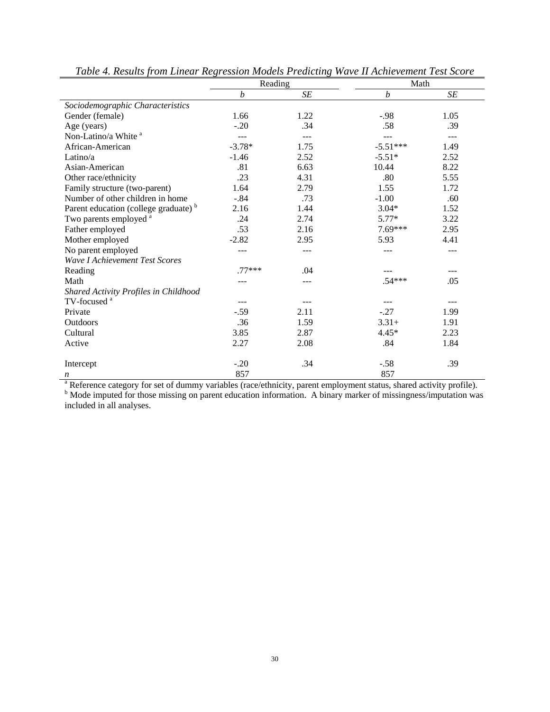|                                                  | Reading          |           | Math             |           |
|--------------------------------------------------|------------------|-----------|------------------|-----------|
|                                                  | $\boldsymbol{b}$ | $\cal SE$ | $\boldsymbol{b}$ | $\cal SE$ |
| Sociodemographic Characteristics                 |                  |           |                  |           |
| Gender (female)                                  | 1.66             | 1.22      | $-.98$           | 1.05      |
| Age (years)                                      | $-.20$           | .34       | .58              | .39       |
| Non-Latino/a White <sup>a</sup>                  |                  |           |                  |           |
| African-American                                 | $-3.78*$         | 1.75      | $-5.51***$       | 1.49      |
| Latino/ $a$                                      | $-1.46$          | 2.52      | $-5.51*$         | 2.52      |
| Asian-American                                   | .81              | 6.63      | 10.44            | 8.22      |
| Other race/ethnicity                             | .23              | 4.31      | .80              | 5.55      |
| Family structure (two-parent)                    | 1.64             | 2.79      | 1.55             | 1.72      |
| Number of other children in home                 | $-.84$           | .73       | $-1.00$          | .60       |
| Parent education (college graduate) <sup>b</sup> | 2.16             | 1.44      | $3.04*$          | 1.52      |
| Two parents employed <sup>a</sup>                | .24              | 2.74      | $5.77*$          | 3.22      |
| Father employed                                  | .53              | 2.16      | $7.69***$        | 2.95      |
| Mother employed                                  | $-2.82$          | 2.95      | 5.93             | 4.41      |
| No parent employed                               |                  |           |                  |           |
| <b>Wave I Achievement Test Scores</b>            |                  |           |                  |           |
| Reading                                          | $.77***$         | .04       |                  |           |
| Math                                             |                  |           | $.54***$         | .05       |
| <b>Shared Activity Profiles in Childhood</b>     |                  |           |                  |           |
| TV-focused <sup>a</sup>                          |                  |           |                  |           |
| Private                                          | $-.59$           | 2.11      | $-.27$           | 1.99      |
| Outdoors                                         | .36              | 1.59      | $3.31+$          | 1.91      |
| Cultural                                         | 3.85             | 2.87      | $4.45*$          | 2.23      |
| Active                                           | 2.27             | 2.08      | .84              | 1.84      |
| Intercept                                        | $-.20$           | .34       | $-.58$           | .39       |
| n                                                | 857              |           | 857              |           |

*Table 4. Results from Linear Regression Models Predicting Wave II Achievement Test Score*

 $\frac{857}{857}$ <br><sup>a</sup> Reference category for set of dummy variables (race/ethnicity, parent employment status, shared activity profile).<br><sup>b</sup> Mode imputed for those missing on parent education information. A binary marker of m included in all analyses.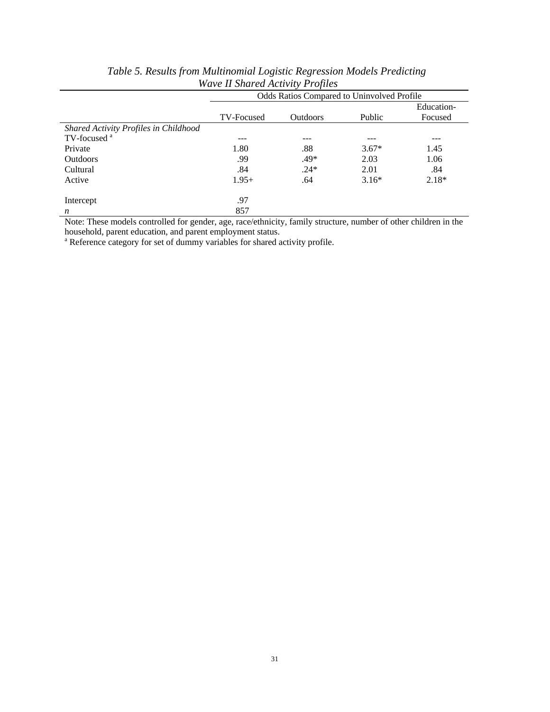|                                       | Odds Ratios Compared to Uninvolved Profile |                 |         |            |
|---------------------------------------|--------------------------------------------|-----------------|---------|------------|
|                                       |                                            |                 |         | Education- |
|                                       | TV-Focused                                 | <b>Outdoors</b> | Public  | Focused    |
| Shared Activity Profiles in Childhood |                                            |                 |         |            |
| TV-focused <sup>a</sup>               | ---                                        |                 |         | ---        |
| Private                               | 1.80                                       | .88             | $3.67*$ | 1.45       |
| <b>Outdoors</b>                       | .99                                        | $.49*$          | 2.03    | 1.06       |
| Cultural                              | .84                                        | $.24*$          | 2.01    | .84        |
| Active                                | $1.95+$                                    | .64             | $3.16*$ | $2.18*$    |
|                                       |                                            |                 |         |            |
| Intercept                             | .97                                        |                 |         |            |
| n                                     | 857                                        |                 |         |            |

*Table 5. Results from Multinomial Logistic Regression Models Predicting Wave II Shared Activity Profiles* 

Note: These models controlled for gender, age, race/ethnicity, family structure, number of other children in the household, parent education, and parent employment status.<br><sup>a</sup> Reference estatory for set of dummy veriables for shared a

<sup>a</sup> Reference category for set of dummy variables for shared activity profile.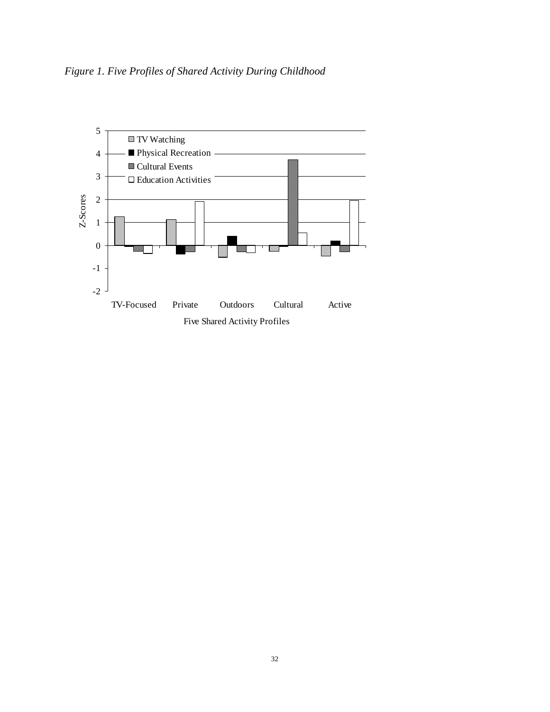*Figure 1. Five Profiles of Shared Activity During Childhood*